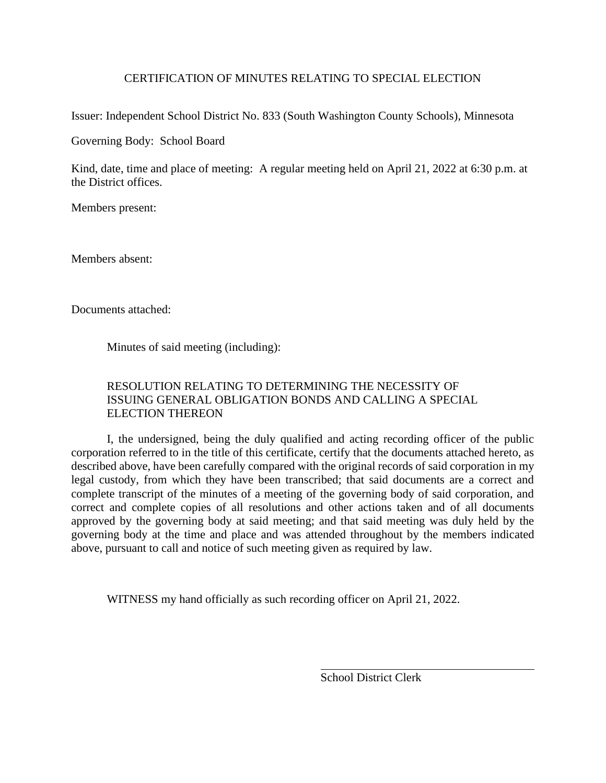### CERTIFICATION OF MINUTES RELATING TO SPECIAL ELECTION

Issuer: Independent School District No. 833 (South Washington County Schools), Minnesota

Governing Body: School Board

Kind, date, time and place of meeting: A regular meeting held on April 21, 2022 at 6:30 p.m. at the District offices.

Members present:

Members absent:

Documents attached:

Minutes of said meeting (including):

# RESOLUTION RELATING TO DETERMINING THE NECESSITY OF ISSUING GENERAL OBLIGATION BONDS AND CALLING A SPECIAL ELECTION THEREON

I, the undersigned, being the duly qualified and acting recording officer of the public corporation referred to in the title of this certificate, certify that the documents attached hereto, as described above, have been carefully compared with the original records of said corporation in my legal custody, from which they have been transcribed; that said documents are a correct and complete transcript of the minutes of a meeting of the governing body of said corporation, and correct and complete copies of all resolutions and other actions taken and of all documents approved by the governing body at said meeting; and that said meeting was duly held by the governing body at the time and place and was attended throughout by the members indicated above, pursuant to call and notice of such meeting given as required by law.

WITNESS my hand officially as such recording officer on April 21, 2022.

School District Clerk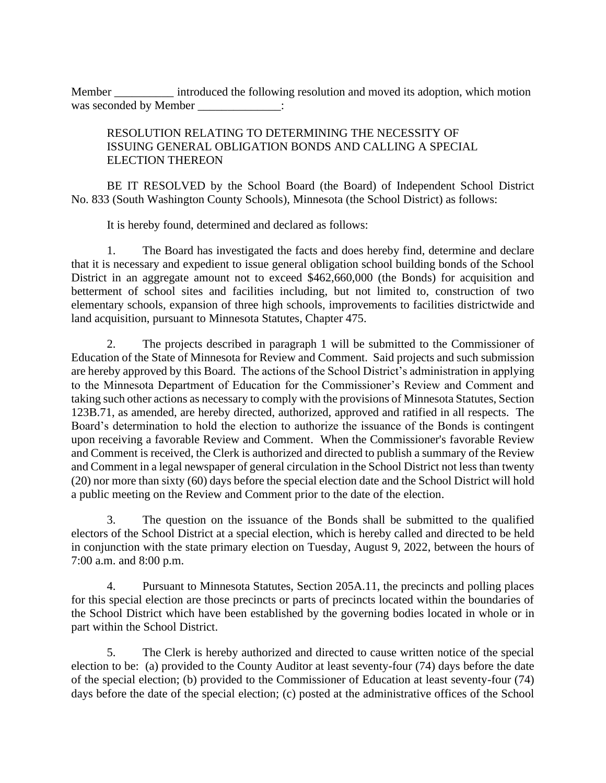Member \_\_\_\_\_\_\_\_\_\_\_ introduced the following resolution and moved its adoption, which motion was seconded by Member  $\qquad \qquad$ :

# RESOLUTION RELATING TO DETERMINING THE NECESSITY OF ISSUING GENERAL OBLIGATION BONDS AND CALLING A SPECIAL ELECTION THEREON

BE IT RESOLVED by the School Board (the Board) of Independent School District No. 833 (South Washington County Schools), Minnesota (the School District) as follows:

It is hereby found, determined and declared as follows:

1. The Board has investigated the facts and does hereby find, determine and declare that it is necessary and expedient to issue general obligation school building bonds of the School District in an aggregate amount not to exceed \$462,660,000 (the Bonds) for acquisition and betterment of school sites and facilities including, but not limited to, construction of two elementary schools, expansion of three high schools, improvements to facilities districtwide and land acquisition, pursuant to Minnesota Statutes, Chapter 475.

2. The projects described in paragraph 1 will be submitted to the Commissioner of Education of the State of Minnesota for Review and Comment. Said projects and such submission are hereby approved by this Board. The actions of the School District's administration in applying to the Minnesota Department of Education for the Commissioner's Review and Comment and taking such other actions as necessary to comply with the provisions of Minnesota Statutes, Section 123B.71, as amended, are hereby directed, authorized, approved and ratified in all respects. The Board's determination to hold the election to authorize the issuance of the Bonds is contingent upon receiving a favorable Review and Comment. When the Commissioner's favorable Review and Comment is received, the Clerk is authorized and directed to publish a summary of the Review and Comment in a legal newspaper of general circulation in the School District not less than twenty (20) nor more than sixty (60) days before the special election date and the School District will hold a public meeting on the Review and Comment prior to the date of the election.

3. The question on the issuance of the Bonds shall be submitted to the qualified electors of the School District at a special election, which is hereby called and directed to be held in conjunction with the state primary election on Tuesday, August 9, 2022, between the hours of 7:00 a.m. and 8:00 p.m.

4. Pursuant to Minnesota Statutes, Section 205A.11, the precincts and polling places for this special election are those precincts or parts of precincts located within the boundaries of the School District which have been established by the governing bodies located in whole or in part within the School District.

5. The Clerk is hereby authorized and directed to cause written notice of the special election to be: (a) provided to the County Auditor at least seventy-four (74) days before the date of the special election; (b) provided to the Commissioner of Education at least seventy-four (74) days before the date of the special election; (c) posted at the administrative offices of the School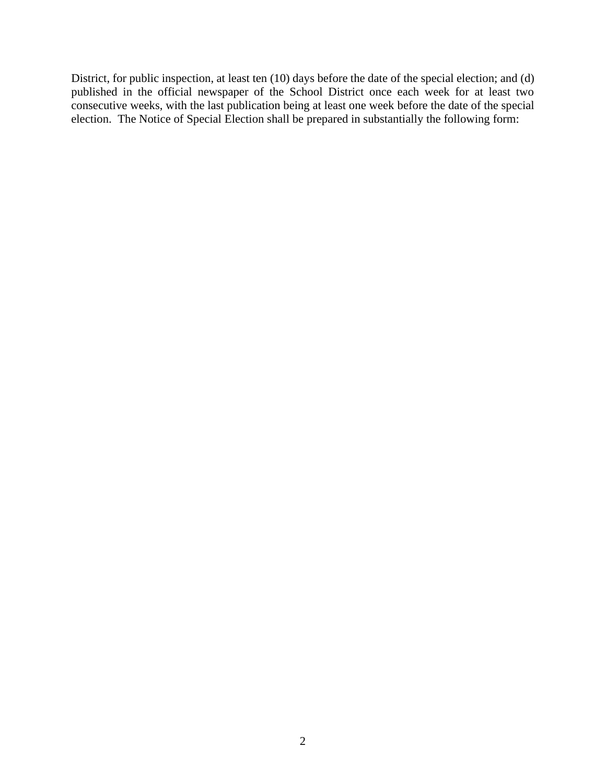District, for public inspection, at least ten (10) days before the date of the special election; and (d) published in the official newspaper of the School District once each week for at least two consecutive weeks, with the last publication being at least one week before the date of the special election. The Notice of Special Election shall be prepared in substantially the following form: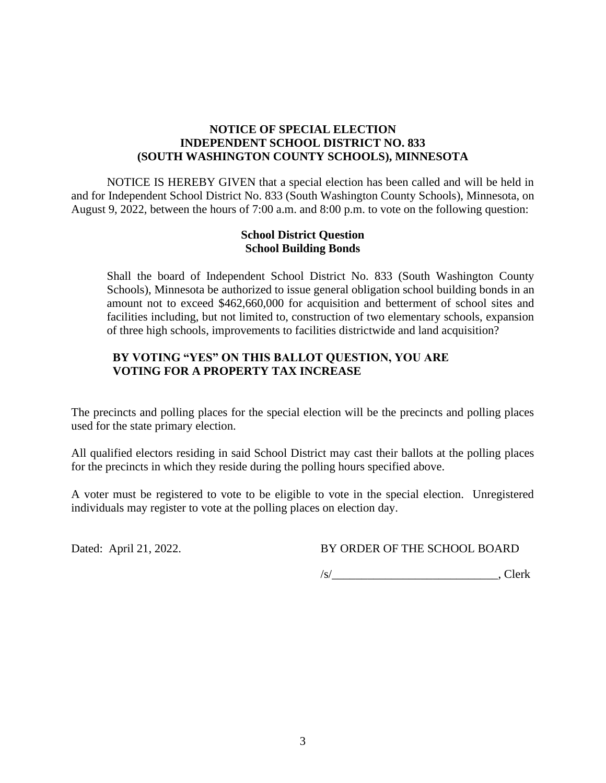### **NOTICE OF SPECIAL ELECTION INDEPENDENT SCHOOL DISTRICT NO. 833 (SOUTH WASHINGTON COUNTY SCHOOLS), MINNESOTA**

NOTICE IS HEREBY GIVEN that a special election has been called and will be held in and for Independent School District No. 833 (South Washington County Schools), Minnesota, on August 9, 2022, between the hours of 7:00 a.m. and 8:00 p.m. to vote on the following question:

### **School District Question School Building Bonds**

Shall the board of Independent School District No. 833 (South Washington County Schools), Minnesota be authorized to issue general obligation school building bonds in an amount not to exceed \$462,660,000 for acquisition and betterment of school sites and facilities including, but not limited to, construction of two elementary schools, expansion of three high schools, improvements to facilities districtwide and land acquisition?

### **BY VOTING "YES" ON THIS BALLOT QUESTION, YOU ARE VOTING FOR A PROPERTY TAX INCREASE**

The precincts and polling places for the special election will be the precincts and polling places used for the state primary election.

All qualified electors residing in said School District may cast their ballots at the polling places for the precincts in which they reside during the polling hours specified above.

A voter must be registered to vote to be eligible to vote in the special election. Unregistered individuals may register to vote at the polling places on election day.

Dated: April 21, 2022. BY ORDER OF THE SCHOOL BOARD

 $\sqrt{s/2}$ , Clerk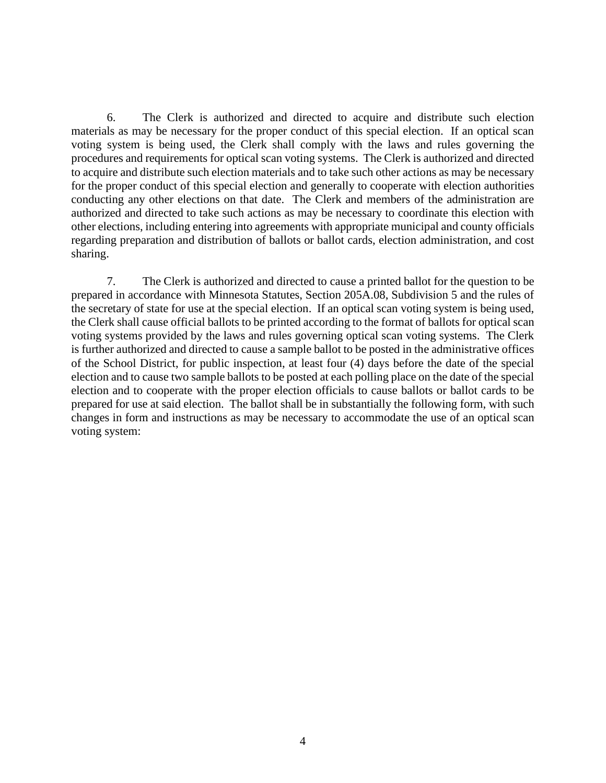6. The Clerk is authorized and directed to acquire and distribute such election materials as may be necessary for the proper conduct of this special election. If an optical scan voting system is being used, the Clerk shall comply with the laws and rules governing the procedures and requirements for optical scan voting systems. The Clerk is authorized and directed to acquire and distribute such election materials and to take such other actions as may be necessary for the proper conduct of this special election and generally to cooperate with election authorities conducting any other elections on that date. The Clerk and members of the administration are authorized and directed to take such actions as may be necessary to coordinate this election with other elections, including entering into agreements with appropriate municipal and county officials regarding preparation and distribution of ballots or ballot cards, election administration, and cost sharing.

7. The Clerk is authorized and directed to cause a printed ballot for the question to be prepared in accordance with Minnesota Statutes, Section 205A.08, Subdivision 5 and the rules of the secretary of state for use at the special election. If an optical scan voting system is being used, the Clerk shall cause official ballots to be printed according to the format of ballots for optical scan voting systems provided by the laws and rules governing optical scan voting systems. The Clerk is further authorized and directed to cause a sample ballot to be posted in the administrative offices of the School District, for public inspection, at least four (4) days before the date of the special election and to cause two sample ballots to be posted at each polling place on the date of the special election and to cooperate with the proper election officials to cause ballots or ballot cards to be prepared for use at said election. The ballot shall be in substantially the following form, with such changes in form and instructions as may be necessary to accommodate the use of an optical scan voting system: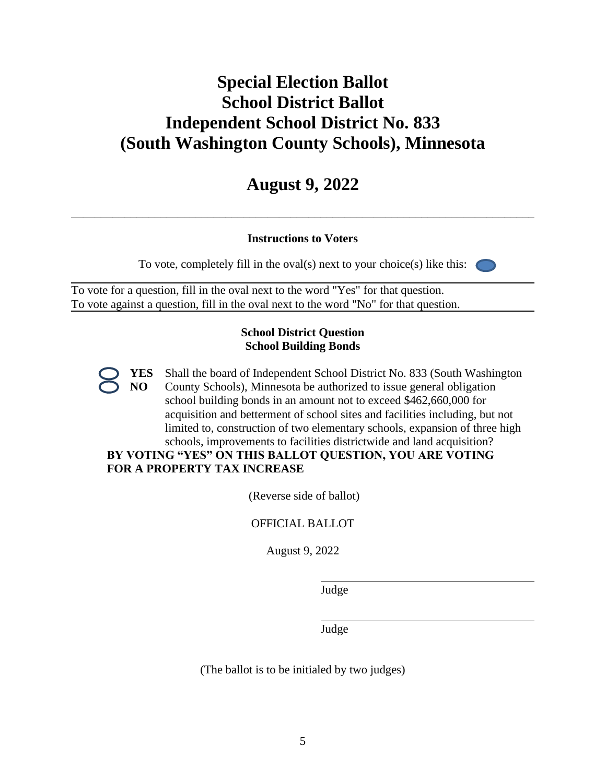# **Special Election Ballot School District Ballot Independent School District No. 833 (South Washington County Schools), Minnesota**

# **August 9, 2022**

\_\_\_\_\_\_\_\_\_\_\_\_\_\_\_\_\_\_\_\_\_\_\_\_\_\_\_\_\_\_\_\_\_\_\_\_\_\_\_\_\_\_\_\_\_\_\_\_\_\_\_\_\_\_\_\_\_\_\_\_\_\_\_\_\_\_\_\_\_\_\_\_\_\_\_\_\_\_

# **Instructions to Voters**

To vote, completely fill in the oval(s) next to your choice(s) like this:

To vote for a question, fill in the oval next to the word "Yes" for that question. To vote against a question, fill in the oval next to the word "No" for that question.

### **School District Question School Building Bonds**

**YES NO** Shall the board of Independent School District No. 833 (South Washington County Schools), Minnesota be authorized to issue general obligation school building bonds in an amount not to exceed \$462,660,000 for acquisition and betterment of school sites and facilities including, but not limited to, construction of two elementary schools, expansion of three high schools, improvements to facilities districtwide and land acquisition?

# **BY VOTING "YES" ON THIS BALLOT QUESTION, YOU ARE VOTING FOR A PROPERTY TAX INCREASE**

(Reverse side of ballot)

OFFICIAL BALLOT

August 9, 2022

Judge

Judge

(The ballot is to be initialed by two judges)